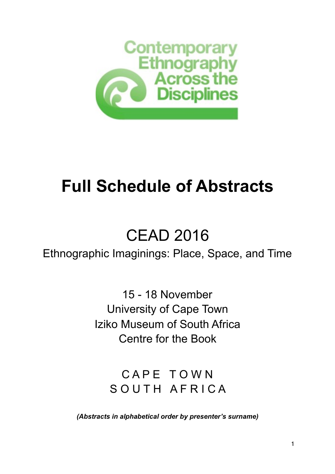

## **Full Schedule of Abstracts**

## CEAD 2016

## Ethnographic Imaginings: Place, Space, and Time

15 - 18 November University of Cape Town Iziko Museum of South Africa Centre for the Book

CAPE TOWN SOUTH AFRICA

*(Abstracts in alphabetical order by presenter's surname)*